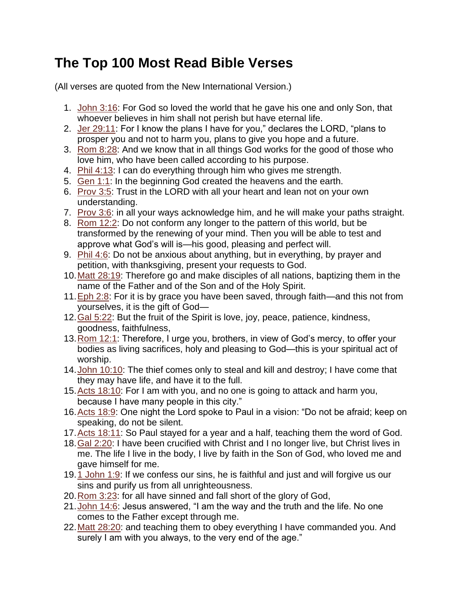## **The Top 100 Most Read Bible Verses**

(All verses are quoted from the New International Version.)

- 1. [John 3:16:](http://www.biblegateway.com/passage/?search=John.3.16) For God so loved the world that he gave his one and only Son, that whoever believes in him shall not perish but have eternal life.
- 2. [Jer 29:11:](http://www.biblegateway.com/passage/?search=Jer.29.11) For I know the plans I have for you," declares the LORD, "plans to prosper you and not to harm you, plans to give you hope and a future.
- 3. [Rom 8:28:](http://www.biblegateway.com/passage/?search=Rom.8.28) And we know that in all things God works for the good of those who love him, who have been called according to his purpose.
- 4. [Phil 4:13:](http://www.biblegateway.com/passage/?search=Phil.4.13) I can do everything through him who gives me strength.
- 5. [Gen 1:1:](http://www.biblegateway.com/passage/?search=Gen.1.1) In the beginning God created the heavens and the earth.
- 6. [Prov 3:5:](http://www.biblegateway.com/passage/?search=Prov.3.5) Trust in the LORD with all your heart and lean not on your own understanding.
- 7. [Prov 3:6:](http://www.biblegateway.com/passage/?search=Prov.3.6) in all your ways acknowledge him, and he will make your paths straight.
- 8. [Rom 12:2:](http://www.biblegateway.com/passage/?search=Rom.12.2) Do not conform any longer to the pattern of this world, but be transformed by the renewing of your mind. Then you will be able to test and approve what God's will is—his good, pleasing and perfect will.
- 9. [Phil 4:6:](http://www.biblegateway.com/passage/?search=Phil.4.6) Do not be anxious about anything, but in everything, by prayer and petition, with thanksgiving, present your requests to God.
- 10[.Matt 28:19:](http://www.biblegateway.com/passage/?search=Matt.28.19) Therefore go and make disciples of all nations, baptizing them in the name of the Father and of the Son and of the Holy Spirit.
- 11[.Eph 2:8:](http://www.biblegateway.com/passage/?search=Eph.2.8) For it is by grace you have been saved, through faith—and this not from yourselves, it is the gift of God—
- 12[.Gal 5:22:](http://www.biblegateway.com/passage/?search=Gal.5.22) But the fruit of the Spirit is love, joy, peace, patience, kindness, goodness, faithfulness,
- 13[.Rom 12:1:](http://www.biblegateway.com/passage/?search=Rom.12.1) Therefore, I urge you, brothers, in view of God's mercy, to offer your bodies as living sacrifices, holy and pleasing to God—this is your spiritual act of worship.
- 14[.John 10:10:](http://www.biblegateway.com/passage/?search=John.10.10) The thief comes only to steal and kill and destroy; I have come that they may have life, and have it to the full.
- 15[.Acts 18:10:](http://www.biblegateway.com/passage/?search=Acts.18.10) For I am with you, and no one is going to attack and harm you, because I have many people in this city."
- 16[.Acts 18:9:](http://www.biblegateway.com/passage/?search=Acts.18.9) One night the Lord spoke to Paul in a vision: "Do not be afraid; keep on speaking, do not be silent.
- 17[.Acts 18:11:](http://www.biblegateway.com/passage/?search=Acts.18.11) So Paul stayed for a year and a half, teaching them the word of God.
- 18[.Gal 2:20:](http://www.biblegateway.com/passage/?search=Gal.2.20) I have been crucified with Christ and I no longer live, but Christ lives in me. The life I live in the body, I live by faith in the Son of God, who loved me and gave himself for me.
- 19[.1 John 1:9:](http://www.biblegateway.com/passage/?search=1John.1.9) If we confess our sins, he is faithful and just and will forgive us our sins and purify us from all unrighteousness.
- 20[.Rom 3:23:](http://www.biblegateway.com/passage/?search=Rom.3.23) for all have sinned and fall short of the glory of God,
- 21[.John 14:6:](http://www.biblegateway.com/passage/?search=John.14.6) Jesus answered, "I am the way and the truth and the life. No one comes to the Father except through me.
- 22[.Matt 28:20:](http://www.biblegateway.com/passage/?search=Matt.28.20) and teaching them to obey everything I have commanded you. And surely I am with you always, to the very end of the age."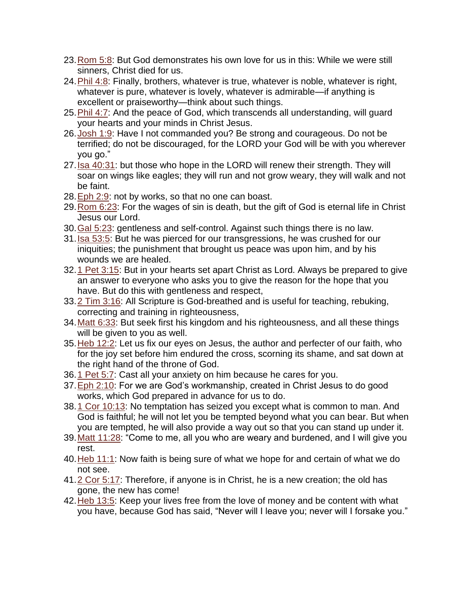- 23[.Rom 5:8:](http://www.biblegateway.com/passage/?search=Rom.5.8) But God demonstrates his own love for us in this: While we were still sinners, Christ died for us.
- 24[.Phil 4:8:](http://www.biblegateway.com/passage/?search=Phil.4.8) Finally, brothers, whatever is true, whatever is noble, whatever is right, whatever is pure, whatever is lovely, whatever is admirable—if anything is excellent or praiseworthy—think about such things.
- 25. Phil 4:7: And the peace of God, which transcends all understanding, will guard your hearts and your minds in Christ Jesus.
- 26[.Josh 1:9:](http://www.biblegateway.com/passage/?search=Josh.1.9) Have I not commanded you? Be strong and courageous. Do not be terrified; do not be discouraged, for the LORD your God will be with you wherever you go."
- 27[.Isa 40:31:](http://www.biblegateway.com/passage/?search=Isa.40.31) but those who hope in the LORD will renew their strength. They will soar on wings like eagles; they will run and not grow weary, they will walk and not be faint.
- 28[.Eph 2:9:](http://www.biblegateway.com/passage/?search=Eph.2.9) not by works, so that no one can boast.
- 29[.Rom 6:23:](http://www.biblegateway.com/passage/?search=Rom.6.23) For the wages of sin is death, but the gift of God is eternal life in Christ Jesus our Lord.
- 30[.Gal 5:23:](http://www.biblegateway.com/passage/?search=Gal.5.23) gentleness and self-control. Against such things there is no law.
- 31[.Isa 53:5:](http://www.biblegateway.com/passage/?search=Isa.53.5) But he was pierced for our transgressions, he was crushed for our iniquities; the punishment that brought us peace was upon him, and by his wounds we are healed.
- 32[.1 Pet 3:15:](http://www.biblegateway.com/passage/?search=1Pet.3.15) But in your hearts set apart Christ as Lord. Always be prepared to give an answer to everyone who asks you to give the reason for the hope that you have. But do this with gentleness and respect,
- 33[.2 Tim 3:16:](http://www.biblegateway.com/passage/?search=2Tim.3.16) All Scripture is God-breathed and is useful for teaching, rebuking, correcting and training in righteousness,
- 34[.Matt 6:33:](http://www.biblegateway.com/passage/?search=Matt.6.33) But seek first his kingdom and his righteousness, and all these things will be given to you as well.
- 35[.Heb 12:2:](http://www.biblegateway.com/passage/?search=Heb.12.2) Let us fix our eyes on Jesus, the author and perfecter of our faith, who for the joy set before him endured the cross, scorning its shame, and sat down at the right hand of the throne of God.
- 36[.1 Pet 5:7:](http://www.biblegateway.com/passage/?search=1Pet.5.7) Cast all your anxiety on him because he cares for you.
- 37[.Eph 2:10:](http://www.biblegateway.com/passage/?search=Eph.2.10) For we are God's workmanship, created in Christ Jesus to do good works, which God prepared in advance for us to do.
- 38[.1 Cor 10:13:](http://www.biblegateway.com/passage/?search=1Cor.10.13) No temptation has seized you except what is common to man. And God is faithful; he will not let you be tempted beyond what you can bear. But when you are tempted, he will also provide a way out so that you can stand up under it.
- 39[.Matt 11:28:](http://www.biblegateway.com/passage/?search=Matt.11.28) "Come to me, all you who are weary and burdened, and I will give you rest.
- 40[.Heb 11:1:](http://www.biblegateway.com/passage/?search=Heb.11.1) Now faith is being sure of what we hope for and certain of what we do not see.
- 41[.2 Cor 5:17:](http://www.biblegateway.com/passage/?search=2Cor.5.17) Therefore, if anyone is in Christ, he is a new creation; the old has gone, the new has come!
- 42[.Heb 13:5:](http://www.biblegateway.com/passage/?search=Heb.13.5) Keep your lives free from the love of money and be content with what you have, because God has said, "Never will I leave you; never will I forsake you."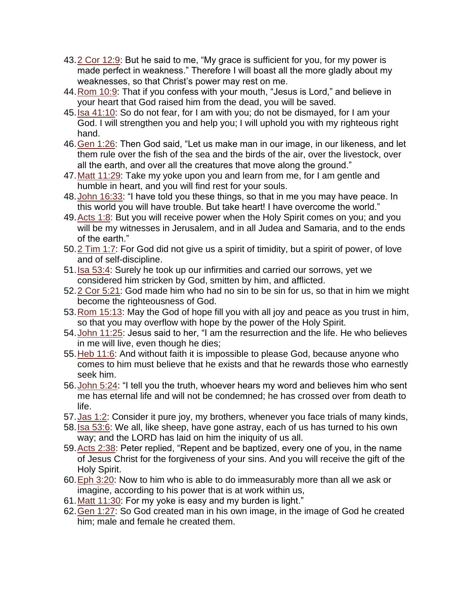- 43[.2 Cor 12:9:](http://www.biblegateway.com/passage/?search=2Cor.12.9) But he said to me, "My grace is sufficient for you, for my power is made perfect in weakness." Therefore I will boast all the more gladly about my weaknesses, so that Christ's power may rest on me.
- 44[.Rom 10:9:](http://www.biblegateway.com/passage/?search=Rom.10.9) That if you confess with your mouth, "Jesus is Lord," and believe in your heart that God raised him from the dead, you will be saved.
- 45. Isa 41:10: So do not fear, for I am with you; do not be dismayed, for I am your God. I will strengthen you and help you; I will uphold you with my righteous right hand.
- 46[.Gen 1:26:](http://www.biblegateway.com/passage/?search=Gen.1.26) Then God said, "Let us make man in our image, in our likeness, and let them rule over the fish of the sea and the birds of the air, over the livestock, over all the earth, and over all the creatures that move along the ground."
- 47[.Matt 11:29:](http://www.biblegateway.com/passage/?search=Matt.11.29) Take my yoke upon you and learn from me, for I am gentle and humble in heart, and you will find rest for your souls.
- 48[.John 16:33:](http://www.biblegateway.com/passage/?search=John.16.33) "I have told you these things, so that in me you may have peace. In this world you will have trouble. But take heart! I have overcome the world."
- 49[.Acts 1:8:](http://www.biblegateway.com/passage/?search=Acts.1.8) But you will receive power when the Holy Spirit comes on you; and you will be my witnesses in Jerusalem, and in all Judea and Samaria, and to the ends of the earth."
- 50[.2 Tim 1:7:](http://www.biblegateway.com/passage/?search=2Tim.1.7) For God did not give us a spirit of timidity, but a spirit of power, of love and of self-discipline.
- 51[.Isa 53:4:](http://www.biblegateway.com/passage/?search=Isa.53.4) Surely he took up our infirmities and carried our sorrows, yet we considered him stricken by God, smitten by him, and afflicted.
- 52[.2 Cor 5:21:](http://www.biblegateway.com/passage/?search=2Cor.5.21) God made him who had no sin to be sin for us, so that in him we might become the righteousness of God.
- 53[.Rom 15:13:](http://www.biblegateway.com/passage/?search=Rom.15.13) May the God of hope fill you with all joy and peace as you trust in him, so that you may overflow with hope by the power of the Holy Spirit.
- 54[.John 11:25:](http://www.biblegateway.com/passage/?search=John.11.25) Jesus said to her, "I am the resurrection and the life. He who believes in me will live, even though he dies;
- 55[.Heb 11:6:](http://www.biblegateway.com/passage/?search=Heb.11.6) And without faith it is impossible to please God, because anyone who comes to him must believe that he exists and that he rewards those who earnestly seek him.
- 56[.John 5:24:](http://www.biblegateway.com/passage/?search=John.5.24) "I tell you the truth, whoever hears my word and believes him who sent me has eternal life and will not be condemned; he has crossed over from death to life.
- 57. Jas 1:2: Consider it pure joy, my brothers, whenever you face trials of many kinds,
- 58[.Isa 53:6:](http://www.biblegateway.com/passage/?search=Isa.53.6) We all, like sheep, have gone astray, each of us has turned to his own way; and the LORD has laid on him the iniquity of us all.
- 59[.Acts 2:38:](http://www.biblegateway.com/passage/?search=Acts.2.38) Peter replied, "Repent and be baptized, every one of you, in the name of Jesus Christ for the forgiveness of your sins. And you will receive the gift of the Holy Spirit.
- 60[.Eph 3:20:](http://www.biblegateway.com/passage/?search=Eph.3.20) Now to him who is able to do immeasurably more than all we ask or imagine, according to his power that is at work within us,
- 61[.Matt 11:30:](http://www.biblegateway.com/passage/?search=Matt.11.30) For my yoke is easy and my burden is light."
- 62[.Gen 1:27:](http://www.biblegateway.com/passage/?search=Gen.1.27) So God created man in his own image, in the image of God he created him; male and female he created them.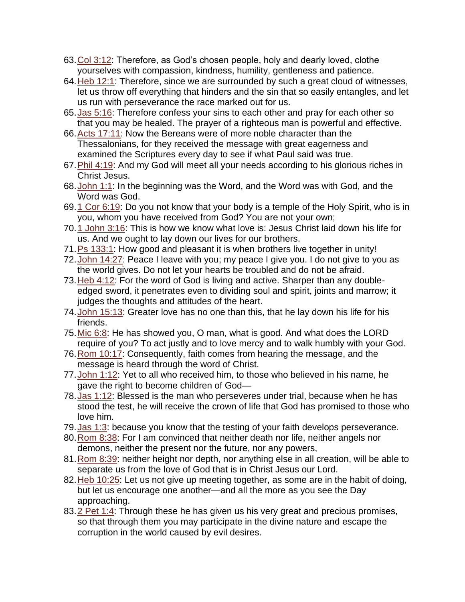- 63[.Col 3:12:](http://www.biblegateway.com/passage/?search=Col.3.12) Therefore, as God's chosen people, holy and dearly loved, clothe yourselves with compassion, kindness, humility, gentleness and patience.
- 64[.Heb 12:1:](http://www.biblegateway.com/passage/?search=Heb.12.1) Therefore, since we are surrounded by such a great cloud of witnesses, let us throw off everything that hinders and the sin that so easily entangles, and let us run with perseverance the race marked out for us.
- 65[.Jas 5:16:](http://www.biblegateway.com/passage/?search=Jas.5.16) Therefore confess your sins to each other and pray for each other so that you may be healed. The prayer of a righteous man is powerful and effective.
- 66[.Acts 17:11:](http://www.biblegateway.com/passage/?search=Acts.17.11) Now the Bereans were of more noble character than the Thessalonians, for they received the message with great eagerness and examined the Scriptures every day to see if what Paul said was true.
- 67[.Phil 4:19:](http://www.biblegateway.com/passage/?search=Phil.4.19) And my God will meet all your needs according to his glorious riches in Christ Jesus.
- 68[.John 1:1:](http://www.biblegateway.com/passage/?search=John.1.1) In the beginning was the Word, and the Word was with God, and the Word was God.
- 69[.1 Cor 6:19:](http://www.biblegateway.com/passage/?search=1Cor.6.19) Do you not know that your body is a temple of the Holy Spirit, who is in you, whom you have received from God? You are not your own;
- 70[.1 John 3:16:](http://www.biblegateway.com/passage/?search=1John.3.16) This is how we know what love is: Jesus Christ laid down his life for us. And we ought to lay down our lives for our brothers.
- 71[.Ps 133:1:](http://www.biblegateway.com/passage/?search=Ps.133.1) How good and pleasant it is when brothers live together in unity!
- 72[.John 14:27:](http://www.biblegateway.com/passage/?search=John.14.27) Peace I leave with you; my peace I give you. I do not give to you as the world gives. Do not let your hearts be troubled and do not be afraid.
- 73[.Heb 4:12:](http://www.biblegateway.com/passage/?search=Heb.4.12) For the word of God is living and active. Sharper than any doubleedged sword, it penetrates even to dividing soul and spirit, joints and marrow; it judges the thoughts and attitudes of the heart.
- 74[.John 15:13:](http://www.biblegateway.com/passage/?search=John.15.13) Greater love has no one than this, that he lay down his life for his friends.
- 75. Mic 6:8: He has showed you, O man, what is good. And what does the LORD require of you? To act justly and to love mercy and to walk humbly with your God.
- 76[.Rom 10:17:](http://www.biblegateway.com/passage/?search=Rom.10.17) Consequently, faith comes from hearing the message, and the message is heard through the word of Christ.
- 77. John 1:12: Yet to all who received him, to those who believed in his name, he gave the right to become children of God—
- 78[.Jas 1:12:](http://www.biblegateway.com/passage/?search=Jas.1.12) Blessed is the man who perseveres under trial, because when he has stood the test, he will receive the crown of life that God has promised to those who love him.
- 79. Jas 1:3: because you know that the testing of your faith develops perseverance.
- 80. Rom 8:38: For I am convinced that neither death nor life, neither angels nor demons, neither the present nor the future, nor any powers,
- 81[.Rom 8:39:](http://www.biblegateway.com/passage/?search=Rom.8.39) neither height nor depth, nor anything else in all creation, will be able to separate us from the love of God that is in Christ Jesus our Lord.
- 82. Heb 10:25: Let us not give up meeting together, as some are in the habit of doing, but let us encourage one another—and all the more as you see the Day approaching.
- 83[.2 Pet 1:4:](http://www.biblegateway.com/passage/?search=2Pet.1.4) Through these he has given us his very great and precious promises, so that through them you may participate in the divine nature and escape the corruption in the world caused by evil desires.